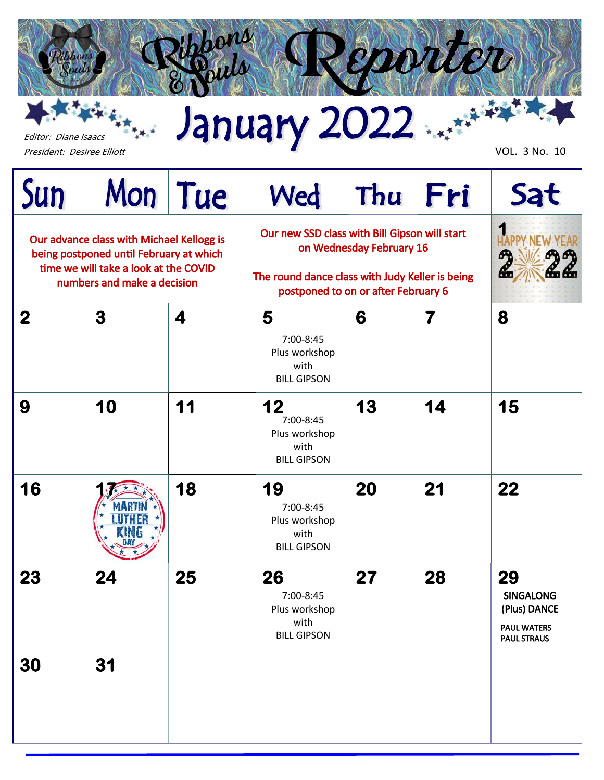

本来大 Editor: Diane Isaacs

President: Desiree Elliott Vol. 3 No. 10

| Sun                                                                                                                                                                                                                                                                                                                                 | Mon Tue |                         | Wed                                                            | Thu | Fri    | Sat                                                                                |
|-------------------------------------------------------------------------------------------------------------------------------------------------------------------------------------------------------------------------------------------------------------------------------------------------------------------------------------|---------|-------------------------|----------------------------------------------------------------|-----|--------|------------------------------------------------------------------------------------|
| Our new SSD class with Bill Gipson will start<br>Our advance class with Michael Kellogg is<br>on Wednesday February 16<br>being postponed until February at which<br>time we will take a look at the COVID<br>The round dance class with Judy Keller is being<br>numbers and make a decision<br>postponed to on or after February 6 |         |                         |                                                                |     | ጣ<br>Æ |                                                                                    |
| $\boldsymbol{2}$                                                                                                                                                                                                                                                                                                                    | 3       | $\overline{\mathbf{4}}$ | 5<br>7:00-8:45<br>Plus workshop<br>with<br><b>BILL GIPSON</b>  | 6   | 7      | 8                                                                                  |
| 9                                                                                                                                                                                                                                                                                                                                   | 10      | 11                      | 12<br>7:00-8:45<br>Plus workshop<br>with<br><b>BILL GIPSON</b> | 13  | 14     | 15                                                                                 |
| 16                                                                                                                                                                                                                                                                                                                                  |         | 18                      | 19<br>7:00-8:45<br>Plus workshop<br>with<br><b>BILL GIPSON</b> | 20  | 21     | 22                                                                                 |
| 23                                                                                                                                                                                                                                                                                                                                  | 24      | 25                      | 26<br>7:00-8:45<br>Plus workshop<br>with<br><b>BILL GIPSON</b> | 27  | 28     | 29<br><b>SINGALONG</b><br>(Plus) DANCE<br><b>PAUL WATERS</b><br><b>PAUL STRAUS</b> |
| 30                                                                                                                                                                                                                                                                                                                                  | 31      |                         |                                                                |     |        |                                                                                    |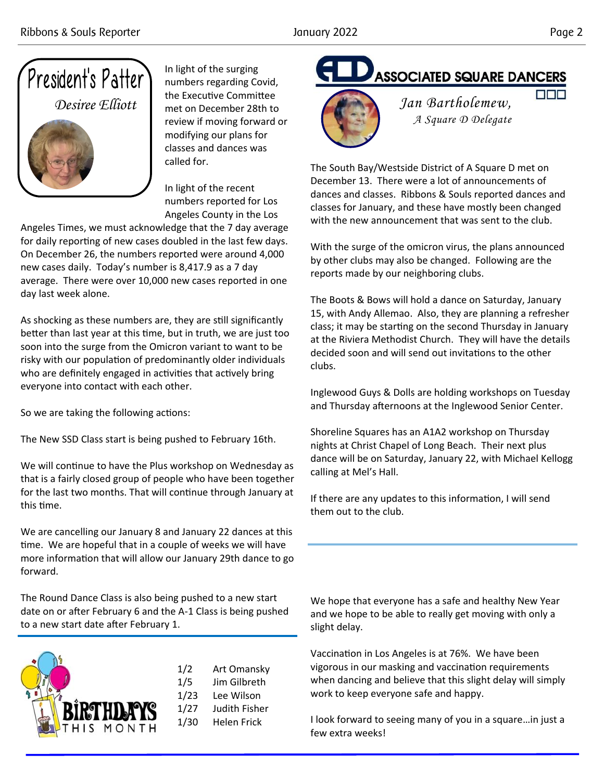

In light of the surging numbers regarding Covid, the Executive Committee met on December 28th to review if moving forward or modifying our plans for classes and dances was called for.

In light of the recent numbers reported for Los Angeles County in the Los

Angeles Times, we must acknowledge that the 7 day average for daily reporting of new cases doubled in the last few days. On December 26, the numbers reported were around 4,000 new cases daily. Today's number is 8,417.9 as a 7 day average. There were over 10,000 new cases reported in one day last week alone.

As shocking as these numbers are, they are still significantly better than last year at this time, but in truth, we are just too soon into the surge from the Omicron variant to want to be risky with our population of predominantly older individuals who are definitely engaged in activities that actively bring everyone into contact with each other.

So we are taking the following actions:

The New SSD Class start is being pushed to February 16th.

We will continue to have the Plus workshop on Wednesday as that is a fairly closed group of people who have been together for the last two months. That will continue through January at this time.

We are cancelling our January 8 and January 22 dances at this time. We are hopeful that in a couple of weeks we will have more information that will allow our January 29th dance to go forward.

The Round Dance Class is also being pushed to a new start date on or after February 6 and the A-1 Class is being pushed to a new start date after February 1.



1/2 Art Omansky 1/5 Jim Gilbreth 1/23 Lee Wilson 1/27 Judith Fisher 1/30 Helen Frick

**ASSOCIATED SQUARE DANCERS** 



*Jan Bartholemew, A Square D Delegate*

The South Bay/Westside District of A Square D met on December 13. There were a lot of announcements of dances and classes. Ribbons & Souls reported dances and classes for January, and these have mostly been changed with the new announcement that was sent to the club.

With the surge of the omicron virus, the plans announced by other clubs may also be changed. Following are the reports made by our neighboring clubs.

The Boots & Bows will hold a dance on Saturday, January 15, with Andy Allemao. Also, they are planning a refresher class; it may be starting on the second Thursday in January at the Riviera Methodist Church. They will have the details decided soon and will send out invitations to the other clubs.

Inglewood Guys & Dolls are holding workshops on Tuesday and Thursday afternoons at the Inglewood Senior Center.

Shoreline Squares has an A1A2 workshop on Thursday nights at Christ Chapel of Long Beach. Their next plus dance will be on Saturday, January 22, with Michael Kellogg calling at Mel's Hall.

If there are any updates to this information, I will send them out to the club.

We hope that everyone has a safe and healthy New Year and we hope to be able to really get moving with only a slight delay.

Vaccination in Los Angeles is at 76%. We have been vigorous in our masking and vaccination requirements when dancing and believe that this slight delay will simply work to keep everyone safe and happy.

I look forward to seeing many of you in a square…in just a few extra weeks!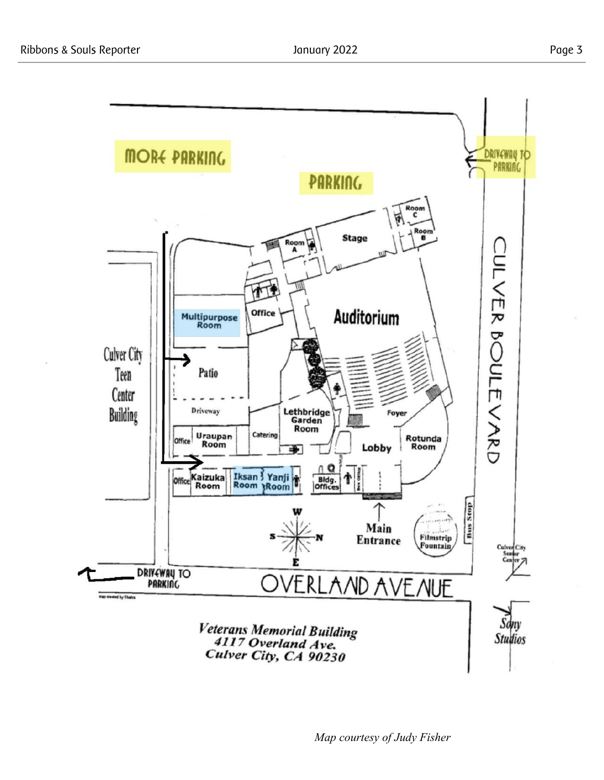

*Map courtesy of Judy Fisher*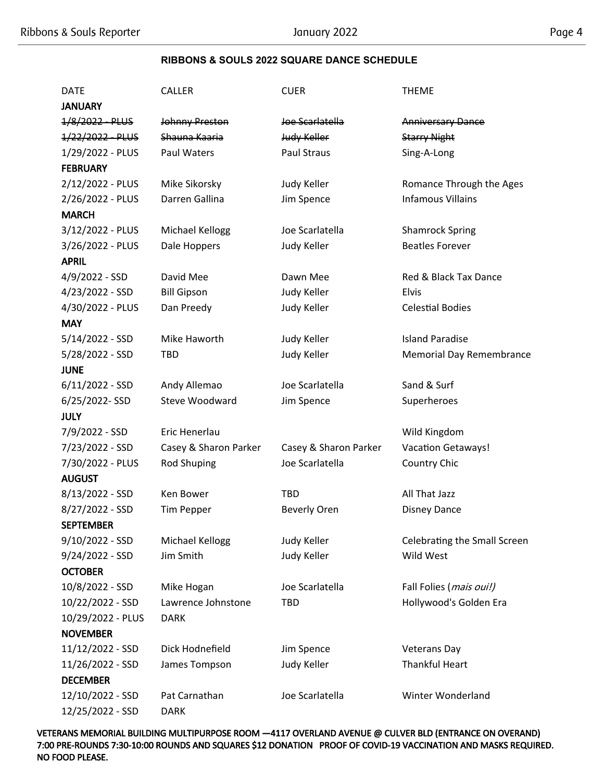## **RIBBONS & SOULS 2022 SQUARE DANCE SCHEDULE**

| <b>DATE</b>       | <b>CALLER</b>         | <b>CUER</b>           | <b>THEME</b>                    |
|-------------------|-----------------------|-----------------------|---------------------------------|
| <b>JANUARY</b>    |                       |                       |                                 |
| 1/8/2022 PLUS     | <b>Johnny Preston</b> | Joe Scarlatella       | <b>Anniversary Dance</b>        |
| 1/22/2022 PLUS    | Shauna Kaaria         | Judy Keller           | <b>Starry Night</b>             |
| 1/29/2022 - PLUS  | <b>Paul Waters</b>    | <b>Paul Straus</b>    | Sing-A-Long                     |
| <b>FEBRUARY</b>   |                       |                       |                                 |
| 2/12/2022 - PLUS  | Mike Sikorsky         | Judy Keller           | Romance Through the Ages        |
| 2/26/2022 - PLUS  | Darren Gallina        | Jim Spence            | <b>Infamous Villains</b>        |
| <b>MARCH</b>      |                       |                       |                                 |
| 3/12/2022 - PLUS  | Michael Kellogg       | Joe Scarlatella       | <b>Shamrock Spring</b>          |
| 3/26/2022 - PLUS  | Dale Hoppers          | Judy Keller           | <b>Beatles Forever</b>          |
| <b>APRIL</b>      |                       |                       |                                 |
| 4/9/2022 - SSD    | David Mee             | Dawn Mee              | Red & Black Tax Dance           |
| 4/23/2022 - SSD   | <b>Bill Gipson</b>    | Judy Keller           | <b>Elvis</b>                    |
| 4/30/2022 - PLUS  | Dan Preedy            | Judy Keller           | <b>Celestial Bodies</b>         |
| <b>MAY</b>        |                       |                       |                                 |
| $5/14/2022 - SSD$ | Mike Haworth          | Judy Keller           | <b>Island Paradise</b>          |
| 5/28/2022 - SSD   | <b>TBD</b>            | Judy Keller           | <b>Memorial Day Remembrance</b> |
| <b>JUNE</b>       |                       |                       |                                 |
| $6/11/2022 - SSD$ | Andy Allemao          | Joe Scarlatella       | Sand & Surf                     |
| 6/25/2022-SSD     | Steve Woodward        | Jim Spence            | Superheroes                     |
| JULY              |                       |                       |                                 |
| 7/9/2022 - SSD    | Eric Henerlau         |                       | Wild Kingdom                    |
| 7/23/2022 - SSD   | Casey & Sharon Parker | Casey & Sharon Parker | <b>Vacation Getaways!</b>       |
| 7/30/2022 - PLUS  | <b>Rod Shuping</b>    | Joe Scarlatella       | Country Chic                    |
| <b>AUGUST</b>     |                       |                       |                                 |
| 8/13/2022 - SSD   | Ken Bower             | <b>TBD</b>            | All That Jazz                   |
| 8/27/2022 - SSD   | <b>Tim Pepper</b>     | <b>Beverly Oren</b>   | <b>Disney Dance</b>             |
| <b>SEPTEMBER</b>  |                       |                       |                                 |
| $9/10/2022 - SSD$ | Michael Kellogg       | Judy Keller           | Celebrating the Small Screen    |
| $9/24/2022 - SSD$ | Jim Smith             | Judy Keller           | Wild West                       |
| <b>OCTOBER</b>    |                       |                       |                                 |
| 10/8/2022 - SSD   | Mike Hogan            | Joe Scarlatella       | Fall Folies (mais oui!)         |
| 10/22/2022 - SSD  | Lawrence Johnstone    | TBD                   | Hollywood's Golden Era          |
| 10/29/2022 - PLUS | <b>DARK</b>           |                       |                                 |
| <b>NOVEMBER</b>   |                       |                       |                                 |
| 11/12/2022 - SSD  | Dick Hodnefield       | Jim Spence            | <b>Veterans Day</b>             |
| 11/26/2022 - SSD  | James Tompson         | Judy Keller           | <b>Thankful Heart</b>           |
| <b>DECEMBER</b>   |                       |                       |                                 |
| 12/10/2022 - SSD  | Pat Carnathan         | Joe Scarlatella       | Winter Wonderland               |
| 12/25/2022 - SSD  | <b>DARK</b>           |                       |                                 |

VETERANS MEMORIAL BUILDING MULTIPURPOSE ROOM —4117 OVERLAND AVENUE @ CULVER BLD (ENTRANCE ON OVERAND) 7:00 PRE-ROUNDS 7:30-10:00 ROUNDS AND SQUARES \$12 DONATION PROOF OF COVID-19 VACCINATION AND MASKS REQUIRED. NO FOOD PLEASE.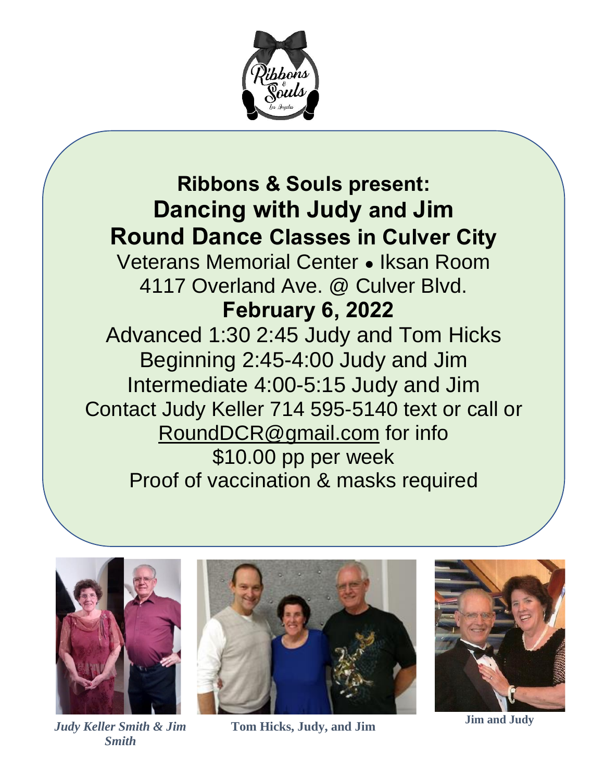

## **Ribbons & Souls present: Dancing with Judy and Jim Round Dance Classes in Culver City**

Veterans Memorial Center ● Iksan Room 4117 Overland Ave. @ Culver Blvd. **February 6, 2022**

Advanced 1:30 2:45 Judy and Tom Hicks Beginning 2:45-4:00 Judy and Jim Intermediate 4:00-5:15 Judy and Jim Contact Judy Keller 714 595-5140 text or call or [RoundDCR@gmail.com](mailto:RoundDCR@gmail.com) for info \$10.00 pp per week Proof of vaccination & masks required



*Judy Keller Smith & Jim Smith*



**Tom Hicks, Judy, and Jim Jim and Judy**